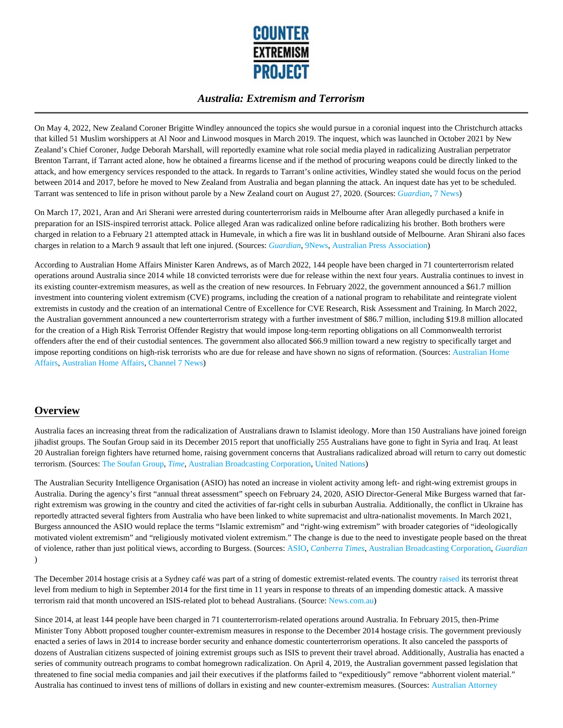

On May 4, 2022, New Zealand Coroner Brigitte Windley announced the topics she would pursue in a coronial inquest into the Christchurch attacks that killed 51 Muslim worshippers at Al Noor and Linwood mosques in March 2019. The inquest, which was launched in October 2021 by New Zealand's Chief Coroner, Judge Deborah Marshall, will reportedly examine what role social media played in radicalizing Australian perpetrator Brenton Tarrant, if Tarrant acted alone, how he obtained a firearms license and if the method of procuring weapons could be directly linked to the attack, and how emergency services responded to the attack. In regards to Tarrant's online activities, Windley stated she would focus on the period between 2014 and 2017, before he moved to New Zealand from Australia and began planning the attack. An inquest date has yet to be scheduled. Tarrant was sentenced to life in prison without parole by a New Zealand court on August 27, 2020. (Sources: *Guardian*, 7 News)

On March 17, 2021, Aran and Ari Sherani were arrested during counterterrorism raids in Melbourne after Aran allegedly purchased a knife in preparation for an ISIS-inspired terrorist attack. Police alleged Aran was radicalized online before radicalizing his brother. Both brothers were charged in relation to a February 21 attempted attack in Humevale, in which a fire was lit in bushland outside of Melbourne. Aran Shirani also faces charges in relation to a March 9 assault that left one injured. (Sources: *Guardian*, 9News, Australian Press Association)

According to Australian Home Affairs Minister Karen Andrews, as of March 2022, 144 people have been charged in 71 counterterrorism related operations around Australia since 2014 while 18 convicted terrorists were due for release within the next four years. Australia continues to invest in its existing counter-extremism measures, as well as the creation of new resources. In February 2022, the government announced a \$61.7 million investment into countering violent extremism (CVE) programs, including the creation of a national program to rehabilitate and reintegrate violent extremists in custody and the creation of an international Centre of Excellence for CVE Research, Risk Assessment and Training. In March 2022, the Australian government announced a new counterterrorism strategy with a further investment of \$86.7 million, including \$19.8 million allocated for the creation of a High Risk Terrorist Offender Registry that would impose long-term reporting obligations on all Commonwealth terrorist offenders after the end of their custodial sentences. The government also allocated \$66.9 million toward a new registry to specifically target and impose reporting conditions on high-risk terrorists who are due for release and have shown no signs of reformation. (Sources: Australian Home Affairs, Australian Home Affairs, Channel 7 News)

# **Overview**

Australia faces an increasing threat from the radicalization of Australians drawn to Islamist ideology. More than 150 Australians have joined foreign jihadist groups. The Soufan Group said in its December 2015 report that unofficially 255 Australians have gone to fight in Syria and Iraq. At least 20 Australian foreign fighters have returned home, raising government concerns that Australians radicalized abroad will return to carry out domestic terrorism. (Sources: The Soufan Group, *Time*, Australian Broadcasting Corporation, United Nations)

The Australian Security Intelligence Organisation (ASIO) has noted an increase in violent activity among left- and right-wing extremist groups in Australia. During the agency's first "annual threat assessment" speech on February 24, 2020, ASIO Director-General Mike Burgess warned that farright extremism was growing in the country and cited the activities of far-right cells in suburban Australia. Additionally, the conflict in Ukraine has reportedly attracted several fighters from Australia who have been linked to white supremacist and ultra-nationalist movements. In March 2021, Burgess announced the ASIO would replace the terms "Islamic extremism" and "right-wing extremism" with broader categories of "ideologically motivated violent extremism" and "religiously motivated violent extremism." The change is due to the need to investigate people based on the threat of violence, rather than just political views, according to Burgess. (Sources: ASIO, *Canberra Times*, Australian Broadcasting Corporation, *Guardian* )

The December 2014 hostage crisis at a Sydney café was part of a string of domestic extremist-related events. The country raised its terrorist threat level from medium to high in September 2014 for the first time in 11 years in response to threats of an impending domestic attack. A massive terrorism raid that month uncovered an ISIS-related plot to behead Australians. (Source: News.com.au)

Since 2014, at least 144 people have been charged in 71 counterterrorism-related operations around Australia. In February 2015, then-Prime Minister Tony Abbott proposed tougher counter-extremism measures in response to the December 2014 hostage crisis. The government previously enacted a series of laws in 2014 to increase border security and enhance domestic counterterrorism operations. It also canceled the passports of dozens of Australian citizens suspected of joining extremist groups such as ISIS to prevent their travel abroad. Additionally, Australia has enacted a series of community outreach programs to combat homegrown radicalization. On April 4, 2019, the Australian government passed legislation that threatened to fine social media companies and jail their executives if the platforms failed to "expeditiously" remove "abhorrent violent material." Australia has continued to invest tens of millions of dollars in existing and new counter-extremism measures. (Sources: Australian Attorney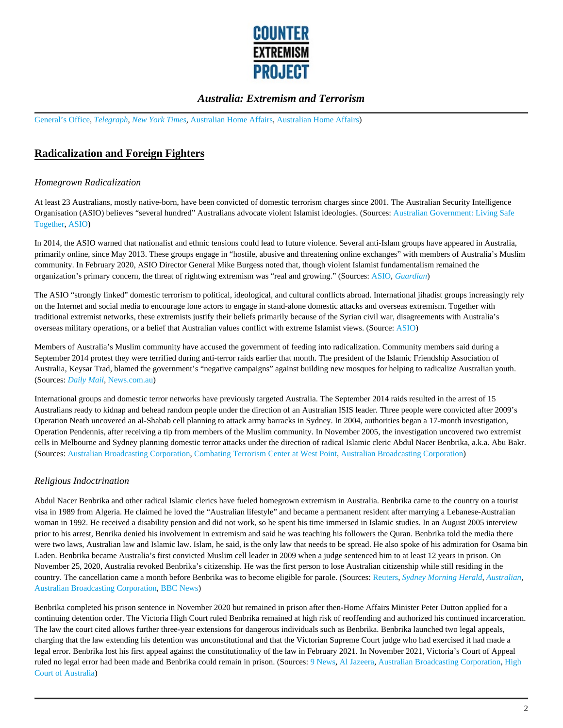

General's Office, *Telegraph*, *New York Times*, Australian Home Affairs, Australian Home Affairs)

# **Radicalization and Foreign Fighters**

#### *Homegrown Radicalization*

At least 23 Australians, mostly native-born, have been convicted of domestic terrorism charges since 2001. The Australian Security Intelligence Organisation (ASIO) believes "several hundred" Australians advocate violent Islamist ideologies. (Sources: Australian Government: Living Safe Together, ASIO)

In 2014, the ASIO warned that nationalist and ethnic tensions could lead to future violence. Several anti-Islam groups have appeared in Australia, primarily online, since May 2013. These groups engage in "hostile, abusive and threatening online exchanges" with members of Australia's Muslim community. In February 2020, ASIO Director General Mike Burgess noted that, though violent Islamist fundamentalism remained the organization's primary concern, the threat of rightwing extremism was "real and growing." (Sources: ASIO, *Guardian*)

The ASIO "strongly linked" domestic terrorism to political, ideological, and cultural conflicts abroad. International jihadist groups increasingly rely on the Internet and social media to encourage lone actors to engage in stand-alone domestic attacks and overseas extremism. Together with traditional extremist networks, these extremists justify their beliefs primarily because of the Syrian civil war, disagreements with Australia's overseas military operations, or a belief that Australian values conflict with extreme Islamist views. (Source: ASIO)

Members of Australia's Muslim community have accused the government of feeding into radicalization. Community members said during a September 2014 protest they were terrified during anti-terror raids earlier that month. The president of the Islamic Friendship Association of Australia, Keysar Trad, blamed the government's "negative campaigns" against building new mosques for helping to radicalize Australian youth. (Sources: *Daily Mail*, News.com.au)

International groups and domestic terror networks have previously targeted Australia. The September 2014 raids resulted in the arrest of 15 Australians ready to kidnap and behead random people under the direction of an Australian ISIS leader. Three people were convicted after 2009's Operation Neath uncovered an al-Shabab cell planning to attack army barracks in Sydney. In 2004, authorities began a 17-month investigation, Operation Pendennis, after receiving a tip from members of the Muslim community. In November 2005, the investigation uncovered two extremist cells in Melbourne and Sydney planning domestic terror attacks under the direction of radical Islamic cleric Abdul Nacer Benbrika, a.k.a. Abu Bakr. (Sources: Australian Broadcasting Corporation, Combating Terrorism Center at West Point, Australian Broadcasting Corporation)

### *Religious Indoctrination*

Abdul Nacer Benbrika and other radical Islamic clerics have fueled homegrown extremism in Australia. Benbrika came to the country on a tourist visa in 1989 from Algeria. He claimed he loved the "Australian lifestyle" and became a permanent resident after marrying a Lebanese-Australian woman in 1992. He received a disability pension and did not work, so he spent his time immersed in Islamic studies. In an August 2005 interview prior to his arrest, Benrika denied his involvement in extremism and said he was teaching his followers the Quran. Benbrika told the media there were two laws, Australian law and Islamic law. Islam, he said, is the only law that needs to be spread. He also spoke of his admiration for Osama bin Laden. Benbrika became Australia's first convicted Muslim cell leader in 2009 when a judge sentenced him to at least 12 years in prison. On November 25, 2020, Australia revoked Benbrika's citizenship. He was the first person to lose Australian citizenship while still residing in the country. The cancellation came a month before Benbrika was to become eligible for parole. (Sources: Reuters, *Sydney Morning Herald*, *Australian*, Australian Broadcasting Corporation, BBC News)

Benbrika completed his prison sentence in November 2020 but remained in prison after then-Home Affairs Minister Peter Dutton applied for a continuing detention order. The Victoria High Court ruled Benbrika remained at high risk of reoffending and authorized his continued incarceration. The law the court cited allows further three-year extensions for dangerous individuals such as Benbrika. Benbrika launched two legal appeals, charging that the law extending his detention was unconstitutional and that the Victorian Supreme Court judge who had exercised it had made a legal error. Benbrika lost his first appeal against the constitutionality of the law in February 2021. In November 2021, Victoria's Court of Appeal ruled no legal error had been made and Benbrika could remain in prison. (Sources: 9 News, Al Jazeera, Australian Broadcasting Corporation, High Court of Australia)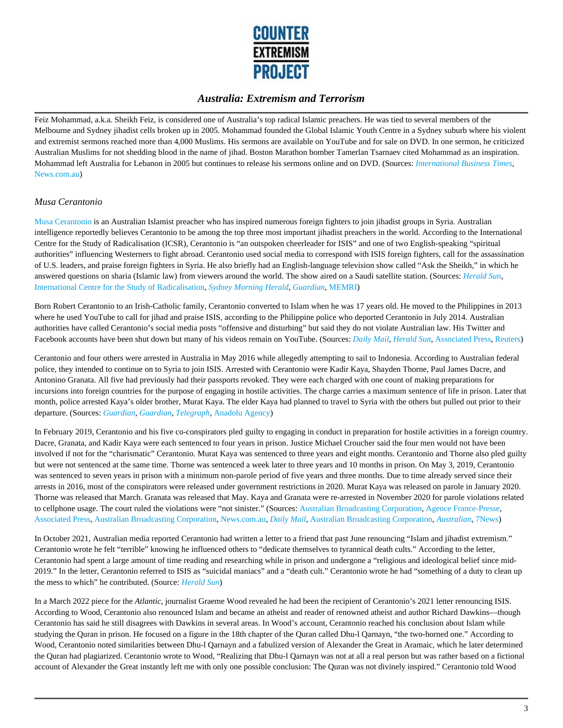

Feiz Mohammad, a.k.a. Sheikh Feiz, is considered one of Australia's top radical Islamic preachers. He was tied to several members of the Melbourne and Sydney jihadist cells broken up in 2005. Mohammad founded the Global Islamic Youth Centre in a Sydney suburb where his violent and extremist sermons reached more than 4,000 Muslims. His sermons are available on YouTube and for sale on DVD. In one sermon, he criticized Australian Muslims for not shedding blood in the name of jihad. Boston Marathon bomber Tamerlan Tsarnaev cited Mohammad as an inspiration. Mohammad left Australia for Lebanon in 2005 but continues to release his sermons online and on DVD. (Sources: *International Business Times*, News.com.au)

#### *Musa Cerantonio*

Musa Cerantonio is an Australian Islamist preacher who has inspired numerous foreign fighters to join jihadist groups in Syria. Australian intelligence reportedly believes Cerantonio to be among the top three most important jihadist preachers in the world. According to the International Centre for the Study of Radicalisation (ICSR), Cerantonio is "an outspoken cheerleader for ISIS" and one of two English-speaking "spiritual authorities" influencing Westerners to fight abroad. Cerantonio used social media to correspond with ISIS foreign fighters, call for the assassination of U.S. leaders, and praise foreign fighters in Syria. He also briefly had an English-language television show called "Ask the Sheikh," in which he answered questions on sharia (Islamic law) from viewers around the world. The show aired on a Saudi satellite station. (Sources: *Herald Sun*, International Centre for the Study of Radicalisation, *Sydney Morning Herald*, *Guardian*, MEMRI)

Born Robert Cerantonio to an Irish-Catholic family, Cerantonio converted to Islam when he was 17 years old. He moved to the Philippines in 2013 where he used YouTube to call for jihad and praise ISIS, according to the Philippine police who deported Cerantonio in July 2014. Australian authorities have called Cerantonio's social media posts "offensive and disturbing" but said they do not violate Australian law. His Twitter and Facebook accounts have been shut down but many of his videos remain on YouTube. (Sources: *Daily Mail*, *Herald Sun*, Associated Press, Reuters)

Cerantonio and four others were arrested in Australia in May 2016 while allegedly attempting to sail to Indonesia. According to Australian federal police, they intended to continue on to Syria to join ISIS. Arrested with Cerantonio were Kadir Kaya, Shayden Thorne, Paul James Dacre, and Antonino Granata. All five had previously had their passports revoked. They were each charged with one count of making preparations for incursions into foreign countries for the purpose of engaging in hostile activities. The charge carries a maximum sentence of life in prison. Later that month, police arrested Kaya's older brother, Murat Kaya. The elder Kaya had planned to travel to Syria with the others but pulled out prior to their departure. (Sources: *Guardian*, *Guardian*, *Telegraph,* Anadolu Agency)

In February 2019, Cerantonio and his five co-conspirators pled guilty to engaging in conduct in preparation for hostile activities in a foreign country. Dacre, Granata, and Kadir Kaya were each sentenced to four years in prison. Justice Michael Croucher said the four men would not have been involved if not for the "charismatic" Cerantonio. Murat Kaya was sentenced to three years and eight months. Cerantonio and Thorne also pled guilty but were not sentenced at the same time. Thorne was sentenced a week later to three years and 10 months in prison. On May 3, 2019, Cerantonio was sentenced to seven years in prison with a minimum non-parole period of five years and three months. Due to time already served since their arrests in 2016, most of the conspirators were released under government restrictions in 2020. Murat Kaya was released on parole in January 2020. Thorne was released that March. Granata was released that May. Kaya and Granata were re-arrested in November 2020 for parole violations related to cellphone usage. The court ruled the violations were "not sinister." (Sources: Australian Broadcasting Corporation, Agence France-Presse, Associated Press, Australian Broadcasting Corporation, News.com.au, *Daily Mail*, Australian Broadcasting Corporation, *Australian*, 7News)

In October 2021, Australian media reported Cerantonio had written a letter to a friend that past June renouncing "Islam and jihadist extremism." Cerantonio wrote he felt "terrible" knowing he influenced others to "dedicate themselves to tyrannical death cults." According to the letter, Cerantonio had spent a large amount of time reading and researching while in prison and undergone a "religious and ideological belief since mid-2019." In the letter, Cerantonio referred to ISIS as "suicidal maniacs" and a "death cult." Cerantonio wrote he had "something of a duty to clean up the mess to which" he contributed. (Source: *Herald Sun*)

In a March 2022 piece for the *Atlantic*, journalist Graeme Wood revealed he had been the recipient of Cerantonio's 2021 letter renouncing ISIS. According to Wood, Cerantonio also renounced Islam and became an atheist and reader of renowned atheist and author Richard Dawkins—though Cerantonio has said he still disagrees with Dawkins in several areas. In Wood's account, Cerantonio reached his conclusion about Islam while studying the Quran in prison. He focused on a figure in the 18th chapter of the Quran called Dhu-l Qarnayn, "the two-horned one." According to Wood, Cerantonio noted similarities between Dhu-l Qarnayn and a fabulized version of Alexander the Great in Aramaic, which he later determined the Quran had plagiarized. Cerantonio wrote to Wood, "Realizing that Dhu-l Qarnayn was not at all a real person but was rather based on a fictional account of Alexander the Great instantly left me with only one possible conclusion: The Quran was not divinely inspired." Cerantonio told Wood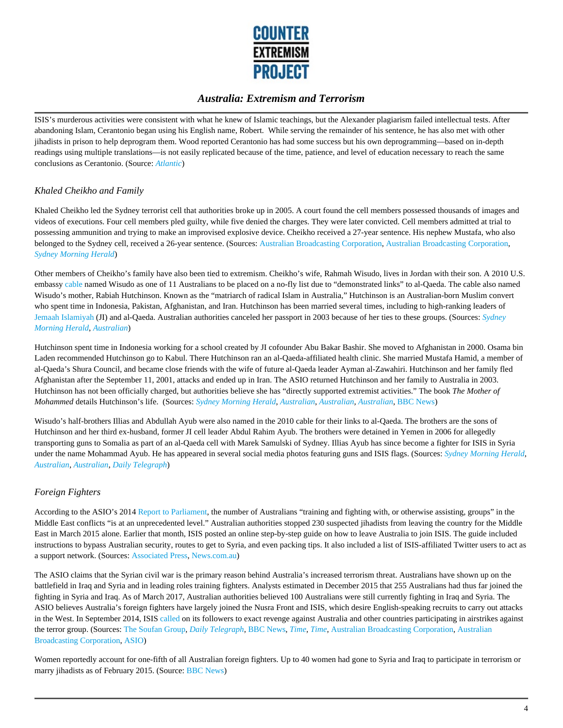

ISIS's murderous activities were consistent with what he knew of Islamic teachings, but the Alexander plagiarism failed intellectual tests. After abandoning Islam, Cerantonio began using his English name, Robert. While serving the remainder of his sentence, he has also met with other jihadists in prison to help deprogram them. Wood reported Cerantonio has had some success but his own deprogramming—based on in-depth readings using multiple translations—is not easily replicated because of the time, patience, and level of education necessary to reach the same conclusions as Cerantonio. (Source: *Atlantic*)

#### *Khaled Cheikho and Family*

Khaled Cheikho led the Sydney terrorist cell that authorities broke up in 2005. A court found the cell members possessed thousands of images and videos of executions. Four cell members pled guilty, while five denied the charges. They were later convicted. Cell members admitted at trial to possessing ammunition and trying to make an improvised explosive device. Cheikho received a 27-year sentence. His nephew Mustafa, who also belonged to the Sydney cell, received a 26-year sentence. (Sources: Australian Broadcasting Corporation, Australian Broadcasting Corporation, *Sydney Morning Herald*)

Other members of Cheikho's family have also been tied to extremism. Cheikho's wife, Rahmah Wisudo, lives in Jordan with their son. A 2010 U.S. embassy cable named Wisudo as one of 11 Australians to be placed on a no-fly list due to "demonstrated links" to al-Qaeda. The cable also named Wisudo's mother, Rabiah Hutchinson. Known as the "matriarch of radical Islam in Australia," Hutchinson is an Australian-born Muslim convert who spent time in Indonesia, Pakistan, Afghanistan, and Iran. Hutchinson has been married several times, including to high-ranking leaders of Jemaah Islamiyah (JI) and al-Qaeda. Australian authorities canceled her passport in 2003 because of her ties to these groups. (Sources: *Sydney Morning Herald*, *Australian*)

Hutchinson spent time in Indonesia working for a school created by JI cofounder Abu Bakar Bashir. She moved to Afghanistan in 2000. Osama bin Laden recommended Hutchinson go to Kabul. There Hutchinson ran an al-Qaeda-affiliated health clinic. She married Mustafa Hamid, a member of al-Qaeda's Shura Council, and became close friends with the wife of future al-Qaeda leader Ayman al-Zawahiri. Hutchinson and her family fled Afghanistan after the September 11, 2001, attacks and ended up in Iran. The ASIO returned Hutchinson and her family to Australia in 2003. Hutchinson has not been officially charged, but authorities believe she has "directly supported extremist activities." The book *The Mother of Mohammed* details Hutchinson's life. (Sources: *Sydney Morning Herald*, *Australian*, *Australian, Australian*, BBC News)

Wisudo's half-brothers Illias and Abdullah Ayub were also named in the 2010 cable for their links to al-Qaeda. The brothers are the sons of Hutchinson and her third ex-husband, former JI cell leader Abdul Rahim Ayub. The brothers were detained in Yemen in 2006 for allegedly transporting guns to Somalia as part of an al-Qaeda cell with Marek Samulski of Sydney. Illias Ayub has since become a fighter for ISIS in Syria under the name Mohammad Ayub. He has appeared in several social media photos featuring guns and ISIS flags. (Sources: *Sydney Morning Herald*, *Australian*, *Australian*, *Daily Telegraph*)

#### *Foreign Fighters*

According to the ASIO's 2014 Report to Parliament, the number of Australians "training and fighting with, or otherwise assisting, groups" in the Middle East conflicts "is at an unprecedented level." Australian authorities stopped 230 suspected jihadists from leaving the country for the Middle East in March 2015 alone. Earlier that month, ISIS posted an online step-by-step guide on how to leave Australia to join ISIS. The guide included instructions to bypass Australian security, routes to get to Syria, and even packing tips. It also included a list of ISIS-affiliated Twitter users to act as a support network. (Sources: Associated Press, News.com.au)

The ASIO claims that the Syrian civil war is the primary reason behind Australia's increased terrorism threat. Australians have shown up on the battlefield in Iraq and Syria and in leading roles training fighters. Analysts estimated in December 2015 that 255 Australians had thus far joined the fighting in Syria and Iraq. As of March 2017, Australian authorities believed 100 Australians were still currently fighting in Iraq and Syria. The ASIO believes Australia's foreign fighters have largely joined the Nusra Front and ISIS, which desire English-speaking recruits to carry out attacks in the West. In September 2014, ISIS called on its followers to exact revenge against Australia and other countries participating in airstrikes against the terror group. (Sources: The Soufan Group, *Daily Telegraph*, BBC News, *Time*, *Time*, Australian Broadcasting Corporation, Australian Broadcasting Corporation, ASIO)

Women reportedly account for one-fifth of all Australian foreign fighters. Up to 40 women had gone to Syria and Iraq to participate in terrorism or marry jihadists as of February 2015. (Source: BBC News)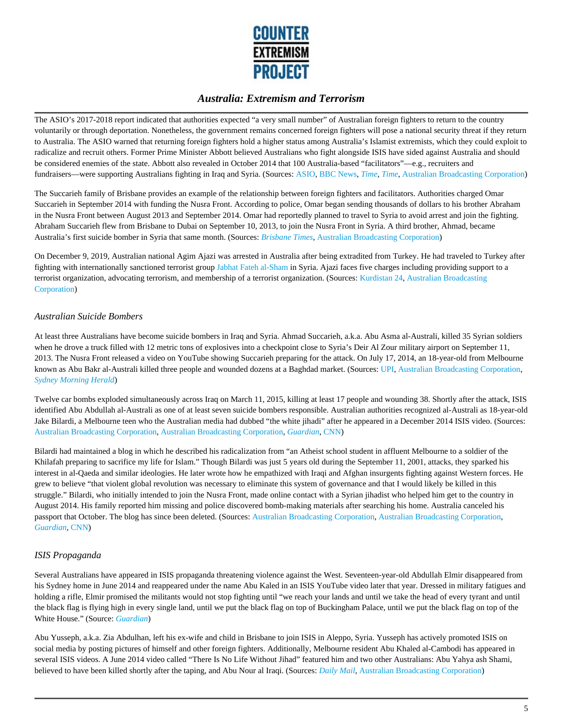

The ASIO's 2017-2018 report indicated that authorities expected "a very small number" of Australian foreign fighters to return to the country voluntarily or through deportation. Nonetheless, the government remains concerned foreign fighters will pose a national security threat if they return to Australia. The ASIO warned that returning foreign fighters hold a higher status among Australia's Islamist extremists, which they could exploit to radicalize and recruit others. Former Prime Minister Abbott believed Australians who fight alongside ISIS have sided against Australia and should be considered enemies of the state. Abbott also revealed in October 2014 that 100 Australia-based "facilitators"—e.g., recruiters and fundraisers—were supporting Australians fighting in Iraq and Syria. (Sources: ASIO, BBC News, *Time, Time*, Australian Broadcasting Corporation)

The Succarieh family of Brisbane provides an example of the relationship between foreign fighters and facilitators. Authorities charged Omar Succarieh in September 2014 with funding the Nusra Front. According to police, Omar began sending thousands of dollars to his brother Abraham in the Nusra Front between August 2013 and September 2014. Omar had reportedly planned to travel to Syria to avoid arrest and join the fighting. Abraham Succarieh flew from Brisbane to Dubai on September 10, 2013, to join the Nusra Front in Syria. A third brother, Ahmad, became Australia's first suicide bomber in Syria that same month. (Sources: *Brisbane Times*, Australian Broadcasting Corporation)

On December 9, 2019, Australian national Agim Ajazi was arrested in Australia after being extradited from Turkey. He had traveled to Turkey after fighting with internationally sanctioned terrorist group Jabhat Fateh al-Sham in Syria. Ajazi faces five charges including providing support to a terrorist organization, advocating terrorism, and membership of a terrorist organization. (Sources: Kurdistan 24, Australian Broadcasting Corporation)

#### *Australian Suicide Bombers*

At least three Australians have become suicide bombers in Iraq and Syria. Ahmad Succarieh, a.k.a. Abu Asma al-Australi, killed 35 Syrian soldiers when he drove a truck filled with 12 metric tons of explosives into a checkpoint close to Syria's Deir Al Zour military airport on September 11, 2013. The Nusra Front released a video on YouTube showing Succarieh preparing for the attack. On July 17, 2014, an 18-year-old from Melbourne known as Abu Bakr al-Australi killed three people and wounded dozens at a Baghdad market. (Sources: UPI, Australian Broadcasting Corporation, *Sydney Morning Herald*)

Twelve car bombs exploded simultaneously across Iraq on March 11, 2015, killing at least 17 people and wounding 38. Shortly after the attack, ISIS identified Abu Abdullah al-Australi as one of at least seven suicide bombers responsible. Australian authorities recognized al-Australi as 18-year-old Jake Bilardi, a Melbourne teen who the Australian media had dubbed "the white jihadi" after he appeared in a December 2014 ISIS video. (Sources: Australian Broadcasting Corporation, Australian Broadcasting Corporation, *Guardian*, CNN)

Bilardi had maintained a blog in which he described his radicalization from "an Atheist school student in affluent Melbourne to a soldier of the Khilafah preparing to sacrifice my life for Islam." Though Bilardi was just 5 years old during the September 11, 2001, attacks, they sparked his interest in al-Qaeda and similar ideologies. He later wrote how he empathized with Iraqi and Afghan insurgents fighting against Western forces. He grew to believe "that violent global revolution was necessary to eliminate this system of governance and that I would likely be killed in this struggle." Bilardi, who initially intended to join the Nusra Front, made online contact with a Syrian jihadist who helped him get to the country in August 2014. His family reported him missing and police discovered bomb-making materials after searching his home. Australia canceled his passport that October. The blog has since been deleted. (Sources: Australian Broadcasting Corporation, Australian Broadcasting Corporation, *Guardian*, CNN)

#### *ISIS Propaganda*

Several Australians have appeared in ISIS propaganda threatening violence against the West. Seventeen-year-old Abdullah Elmir disappeared from his Sydney home in June 2014 and reappeared under the name Abu Kaled in an ISIS YouTube video later that year. Dressed in military fatigues and holding a rifle, Elmir promised the militants would not stop fighting until "we reach your lands and until we take the head of every tyrant and until the black flag is flying high in every single land, until we put the black flag on top of Buckingham Palace, until we put the black flag on top of the White House." (Source: *Guardian*)

Abu Yusseph, a.k.a. Zia Abdulhan, left his ex-wife and child in Brisbane to join ISIS in Aleppo, Syria. Yusseph has actively promoted ISIS on social media by posting pictures of himself and other foreign fighters. Additionally, Melbourne resident Abu Khaled al-Cambodi has appeared in several ISIS videos. A June 2014 video called "There Is No Life Without Jihad" featured him and two other Australians: Abu Yahya ash Shami, believed to have been killed shortly after the taping, and Abu Nour al Iraqi. (Sources: *Daily Mail*, Australian Broadcasting Corporation)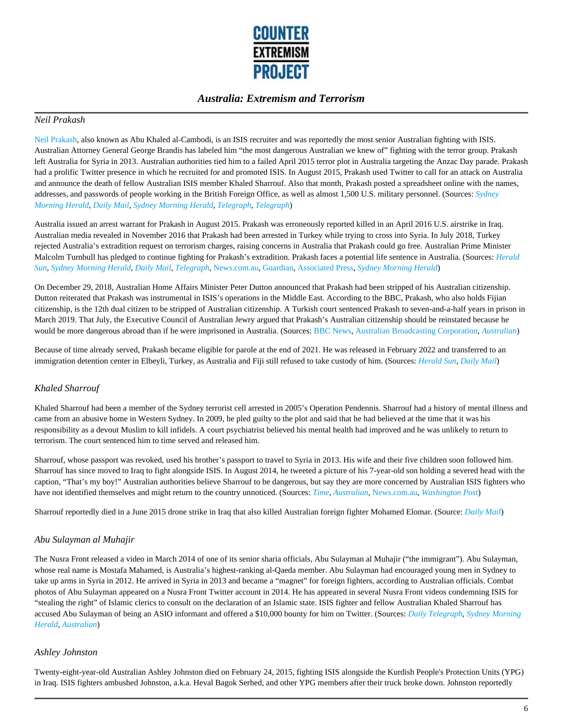

#### *Neil Prakash*

Neil Prakash, also known as Abu Khaled al-Cambodi, is an ISIS recruiter and was reportedly the most senior Australian fighting with ISIS. Australian Attorney General George Brandis has labeled him "the most dangerous Australian we knew of" fighting with the terror group. Prakash left Australia for Syria in 2013. Australian authorities tied him to a failed April 2015 terror plot in Australia targeting the Anzac Day parade. Prakash had a prolific Twitter presence in which he recruited for and promoted ISIS. In August 2015, Prakash used Twitter to call for an attack on Australia and announce the death of fellow Australian ISIS member Khaled Sharrouf. Also that month, Prakash posted a spreadsheet online with the names, addresses, and passwords of people working in the British Foreign Office, as well as almost 1,500 U.S. military personnel. (Sources: *Sydney Morning Herald*, *Daily Mail*, *Sydney Morning Herald*, *Telegraph*, *Telegraph*)

Australia issued an arrest warrant for Prakash in August 2015. Prakash was erroneously reported killed in an April 2016 U.S. airstrike in Iraq. Australian media revealed in November 2016 that Prakash had been arrested in Turkey while trying to cross into Syria. In July 2018, Turkey rejected Australia's extradition request on terrorism charges, raising concerns in Australia that Prakash could go free. Australian Prime Minister Malcolm Turnbull has pledged to continue fighting for Prakash's extradition. Prakash faces a potential life sentence in Australia. (Sources: *Herald Sun*, *Sydney Morning Herald*, *Daily Mail*, *Telegraph*, News.com.au, Guardian, Associated Press, *Sydney Morning Herald*)

On December 29, 2018, Australian Home Affairs Minister Peter Dutton announced that Prakash had been stripped of his Australian citizenship. Dutton reiterated that Prakash was instrumental in ISIS's operations in the Middle East. According to the BBC, Prakash, who also holds Fijian citizenship, is the 12th dual citizen to be stripped of Australian citizenship. A Turkish court sentenced Prakash to seven-and-a-half years in prison in March 2019. That July, the Executive Council of Australian Jewry argued that Prakash's Australian citizenship should be reinstated because he would be more dangerous abroad than if he were imprisoned in Australia. (Sources: BBC News, Australian Broadcasting Corporation, *Australian*)

Because of time already served, Prakash became eligible for parole at the end of 2021. He was released in February 2022 and transferred to an immigration detention center in Elbeyli, Turkey, as Australia and Fiji still refused to take custody of him. (Sources: *Herald Sun*, *Daily Mail*)

#### *Khaled Sharrouf*

Khaled Sharrouf had been a member of the Sydney terrorist cell arrested in 2005's Operation Pendennis. Sharrouf had a history of mental illness and came from an abusive home in Western Sydney. In 2009, he pled guilty to the plot and said that he had believed at the time that it was his responsibility as a devout Muslim to kill infidels. A court psychiatrist believed his mental health had improved and he was unlikely to return to terrorism. The court sentenced him to time served and released him.

Sharrouf, whose passport was revoked, used his brother's passport to travel to Syria in 2013. His wife and their five children soon followed him. Sharrouf has since moved to Iraq to fight alongside ISIS. In August 2014, he tweeted a picture of his 7-year-old son holding a severed head with the caption, "That's my boy!" Australian authorities believe Sharrouf to be dangerous, but say they are more concerned by Australian ISIS fighters who have not identified themselves and might return to the country unnoticed. (Sources: *Time, Australian*, News.com.au, *Washington Post*)

Sharrouf reportedly died in a June 2015 drone strike in Iraq that also killed Australian foreign fighter Mohamed Elomar. (Source: *Daily Mail*)

#### *Abu Sulayman al Muhajir*

The Nusra Front released a video in March 2014 of one of its senior sharia officials, Abu Sulayman al Muhajir ("the immigrant"). Abu Sulayman, whose real name is Mostafa Mahamed, is Australia's highest-ranking al-Qaeda member. Abu Sulayman had encouraged young men in Sydney to take up arms in Syria in 2012. He arrived in Syria in 2013 and became a "magnet" for foreign fighters, according to Australian officials. Combat photos of Abu Sulayman appeared on a Nusra Front Twitter account in 2014. He has appeared in several Nusra Front videos condemning ISIS for "stealing the right" of Islamic clerics to consult on the declaration of an Islamic state. ISIS fighter and fellow Australian Khaled Sharrouf has accused Abu Sulayman of being an ASIO informant and offered a \$10,000 bounty for him on Twitter. (Sources: *Daily Telegraph*, *Sydney Morning Herald*, *Australian*)

#### *Ashley Johnston*

Twenty-eight-year-old Australian Ashley Johnston died on February 24, 2015, fighting ISIS alongside the Kurdish People's Protection Units (YPG) in Iraq. ISIS fighters ambushed Johnston, a.k.a. Heval Bagok Serhed, and other YPG members after their truck broke down. Johnston reportedly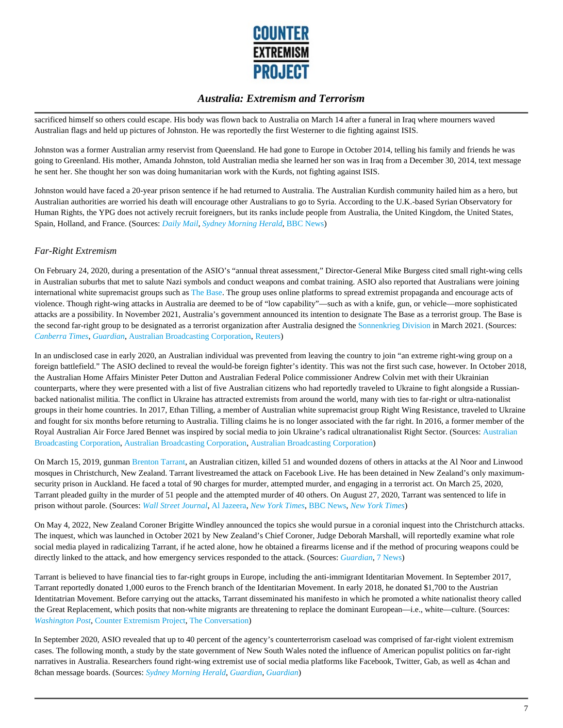

sacrificed himself so others could escape. His body was flown back to Australia on March 14 after a funeral in Iraq where mourners waved Australian flags and held up pictures of Johnston. He was reportedly the first Westerner to die fighting against ISIS.

Johnston was a former Australian army reservist from Queensland. He had gone to Europe in October 2014, telling his family and friends he was going to Greenland. His mother, Amanda Johnston, told Australian media she learned her son was in Iraq from a December 30, 2014, text message he sent her. She thought her son was doing humanitarian work with the Kurds, not fighting against ISIS.

Johnston would have faced a 20-year prison sentence if he had returned to Australia. The Australian Kurdish community hailed him as a hero, but Australian authorities are worried his death will encourage other Australians to go to Syria. According to the U.K.-based Syrian Observatory for Human Rights, the YPG does not actively recruit foreigners, but its ranks include people from Australia, the United Kingdom, the United States, Spain, Holland, and France. (Sources: *Daily Mail*, *Sydney Morning Herald*, BBC News)

#### *Far-Right Extremism*

On February 24, 2020, during a presentation of the ASIO's "annual threat assessment," Director-General Mike Burgess cited small right-wing cells in Australian suburbs that met to salute Nazi symbols and conduct weapons and combat training. ASIO also reported that Australians were joining international white supremacist groups such as The Base. The group uses online platforms to spread extremist propaganda and encourage acts of violence. Though right-wing attacks in Australia are deemed to be of "low capability"—such as with a knife, gun, or vehicle—more sophisticated attacks are a possibility. In November 2021, Australia's government announced its intention to designate The Base as a terrorist group. The Base is the second far-right group to be designated as a terrorist organization after Australia designed the Sonnenkrieg Division in March 2021. (Sources: *Canberra Times*, *Guardian*, Australian Broadcasting Corporation, Reuters)

In an undisclosed case in early 2020, an Australian individual was prevented from leaving the country to join "an extreme right-wing group on a foreign battlefield." The ASIO declined to reveal the would-be foreign fighter's identity. This was not the first such case, however. In October 2018, the Australian Home Affairs Minister Peter Dutton and Australian Federal Police commissioner Andrew Colvin met with their Ukrainian counterparts, where they were presented with a list of five Australian citizens who had reportedly traveled to Ukraine to fight alongside a Russianbacked nationalist militia. The conflict in Ukraine has attracted extremists from around the world, many with ties to far-right or ultra-nationalist groups in their home countries. In 2017, Ethan Tilling, a member of Australian white supremacist group Right Wing Resistance, traveled to Ukraine and fought for six months before returning to Australia. Tilling claims he is no longer associated with the far right. In 2016, a former member of the Royal Australian Air Force Jared Bennet was inspired by social media to join Ukraine's radical ultranationalist Right Sector. (Sources: Australian Broadcasting Corporation, Australian Broadcasting Corporation, Australian Broadcasting Corporation)

On March 15, 2019, gunman Brenton Tarrant, an Australian citizen, killed 51 and wounded dozens of others in attacks at the Al Noor and Linwood mosques in Christchurch, New Zealand. Tarrant livestreamed the attack on Facebook Live. He has been detained in New Zealand's only maximumsecurity prison in Auckland. He faced a total of 90 charges for murder, attempted murder, and engaging in a terrorist act. On March 25, 2020, Tarrant pleaded guilty in the murder of 51 people and the attempted murder of 40 others. On August 27, 2020, Tarrant was sentenced to life in prison without parole. (Sources: *Wall Street Journal*, Al Jazeera, *New York Times*, BBC News, *New York Times*)

On May 4, 2022, New Zealand Coroner Brigitte Windley announced the topics she would pursue in a coronial inquest into the Christchurch attacks. The inquest, which was launched in October 2021 by New Zealand's Chief Coroner, Judge Deborah Marshall, will reportedly examine what role social media played in radicalizing Tarrant, if he acted alone, how he obtained a firearms license and if the method of procuring weapons could be directly linked to the attack, and how emergency services responded to the attack. (Sources: *Guardian*, 7 News)

Tarrant is believed to have financial ties to far-right groups in Europe, including the anti-immigrant Identitarian Movement. In September 2017, Tarrant reportedly donated 1,000 euros to the French branch of the Identitarian Movement. In early 2018, he donated \$1,700 to the Austrian Identitatrian Movement. Before carrying out the attacks, Tarrant disseminated his manifesto in which he promoted a white nationalist theory called the Great Replacement, which posits that non-white migrants are threatening to replace the dominant European—i.e., white—culture. (Sources: *Washington Post*, Counter Extremism Project, The Conversation)

In September 2020, ASIO revealed that up to 40 percent of the agency's counterterrorism caseload was comprised of far-right violent extremism cases. The following month, a study by the state government of New South Wales noted the influence of American populist politics on far-right narratives in Australia. Researchers found right-wing extremist use of social media platforms like Facebook, Twitter, Gab, as well as 4chan and 8chan message boards. (Sources: *Sydney Morning Herald*, *Guardian*, *Guardian*)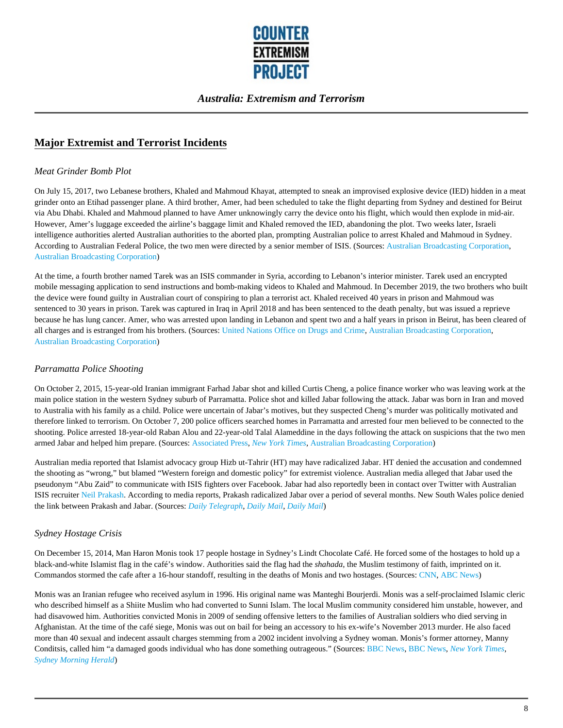

# **Major Extremist and Terrorist Incidents**

#### *Meat Grinder Bomb Plot*

On July 15, 2017, two Lebanese brothers, Khaled and Mahmoud Khayat, attempted to sneak an improvised explosive device (IED) hidden in a meat grinder onto an Etihad passenger plane. A third brother, Amer, had been scheduled to take the flight departing from Sydney and destined for Beirut via Abu Dhabi. Khaled and Mahmoud planned to have Amer unknowingly carry the device onto his flight, which would then explode in mid-air. However, Amer's luggage exceeded the airline's baggage limit and Khaled removed the IED, abandoning the plot. Two weeks later, Israeli intelligence authorities alerted Australian authorities to the aborted plan, prompting Australian police to arrest Khaled and Mahmoud in Sydney. According to Australian Federal Police, the two men were directed by a senior member of ISIS. (Sources: Australian Broadcasting Corporation, Australian Broadcasting Corporation)

At the time, a fourth brother named Tarek was an ISIS commander in Syria, according to Lebanon's interior minister. Tarek used an encrypted mobile messaging application to send instructions and bomb-making videos to Khaled and Mahmoud. In December 2019, the two brothers who built the device were found guilty in Australian court of conspiring to plan a terrorist act. Khaled received 40 years in prison and Mahmoud was sentenced to 30 years in prison. Tarek was captured in Iraq in April 2018 and has been sentenced to the death penalty, but was issued a reprieve because he has lung cancer. Amer, who was arrested upon landing in Lebanon and spent two and a half years in prison in Beirut, has been cleared of all charges and is estranged from his brothers. (Sources: United Nations Office on Drugs and Crime, Australian Broadcasting Corporation, Australian Broadcasting Corporation)

### *Parramatta Police Shooting*

On October 2, 2015, 15-year-old Iranian immigrant Farhad Jabar shot and killed Curtis Cheng, a police finance worker who was leaving work at the main police station in the western Sydney suburb of Parramatta. Police shot and killed Jabar following the attack. Jabar was born in Iran and moved to Australia with his family as a child. Police were uncertain of Jabar's motives, but they suspected Cheng's murder was politically motivated and therefore linked to terrorism. On October 7, 200 police officers searched homes in Parramatta and arrested four men believed to be connected to the shooting. Police arrested 18-year-old Raban Alou and 22-year-old Talal Alameddine in the days following the attack on suspicions that the two men armed Jabar and helped him prepare. (Sources: Associated Press, *New York Times*, Australian Broadcasting Corporation)

Australian media reported that Islamist advocacy group Hizb ut-Tahrir (HT) may have radicalized Jabar. HT denied the accusation and condemned the shooting as "wrong," but blamed "Western foreign and domestic policy" for extremist violence. Australian media alleged that Jabar used the pseudonym "Abu Zaid" to communicate with ISIS fighters over Facebook. Jabar had also reportedly been in contact over Twitter with Australian ISIS recruiter Neil Prakash. According to media reports, Prakash radicalized Jabar over a period of several months. New South Wales police denied the link between Prakash and Jabar. (Sources: *Daily Telegraph*, *Daily Mail*, *Daily Mail*)

### *Sydney Hostage Crisis*

On December 15, 2014, Man Haron Monis took 17 people hostage in Sydney's Lindt Chocolate Café. He forced some of the hostages to hold up a black-and-white Islamist flag in the café's window. Authorities said the flag had the *shahada*, the Muslim testimony of faith, imprinted on it. Commandos stormed the cafe after a 16-hour standoff, resulting in the deaths of Monis and two hostages. (Sources: CNN, ABC News)

Monis was an Iranian refugee who received asylum in 1996. His original name was Manteghi Bourjerdi. Monis was a self-proclaimed Islamic cleric who described himself as a Shiite Muslim who had converted to Sunni Islam. The local Muslim community considered him unstable, however, and had disavowed him. Authorities convicted Monis in 2009 of sending offensive letters to the families of Australian soldiers who died serving in Afghanistan. At the time of the café siege, Monis was out on bail for being an accessory to his ex-wife's November 2013 murder. He also faced more than 40 sexual and indecent assault charges stemming from a 2002 incident involving a Sydney woman. Monis's former attorney, Manny Conditsis, called him "a damaged goods individual who has done something outrageous." (Sources: BBC News, BBC News, *New York Times*, *Sydney Morning Herald*)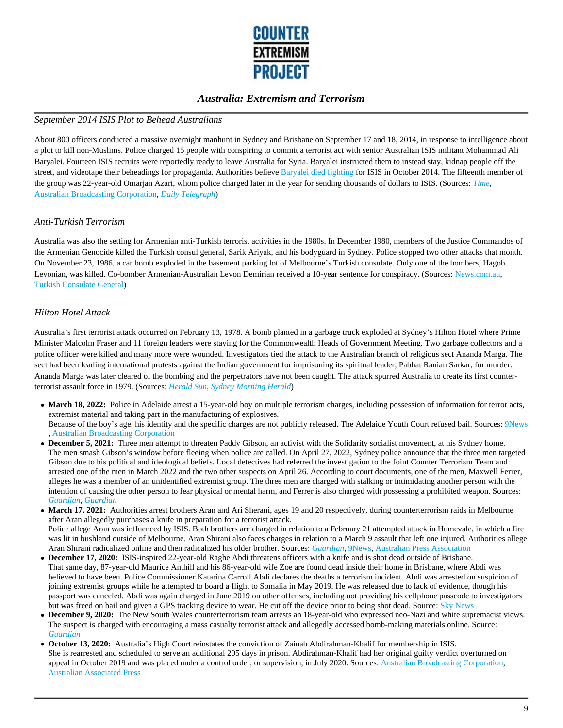

#### *September 2014 ISIS Plot to Behead Australians*

About 800 officers conducted a massive overnight manhunt in Sydney and Brisbane on September 17 and 18, 2014, in response to intelligence about a plot to kill non-Muslims. Police charged 15 people with conspiring to commit a terrorist act with senior Australian ISIS militant Mohammad Ali Baryalei. Fourteen ISIS recruits were reportedly ready to leave Australia for Syria. Baryalei instructed them to instead stay, kidnap people off the street, and videotape their beheadings for propaganda. Authorities believe Baryalei died fighting for ISIS in October 2014. The fifteenth member of the group was 22-year-old Omarjan Azari, whom police charged later in the year for sending thousands of dollars to ISIS. (Sources: *Time*, Australian Broadcasting Corporation, *Daily Telegraph*)

#### *Anti-Turkish Terrorism*

Australia was also the setting for Armenian anti-Turkish terrorist activities in the 1980s. In December 1980, members of the Justice Commandos of the Armenian Genocide killed the Turkish consul general, Sarik Ariyak, and his bodyguard in Sydney. Police stopped two other attacks that month. On November 23, 1986, a car bomb exploded in the basement parking lot of Melbourne's Turkish consulate. Only one of the bombers, Hagob Levonian, was killed. Co-bomber Armenian-Australian Levon Demirian received a 10-year sentence for conspiracy. (Sources: News.com.au, Turkish Consulate General)

#### *Hilton Hotel Attack*

Australia's first terrorist attack occurred on February 13, 1978. A bomb planted in a garbage truck exploded at Sydney's Hilton Hotel where Prime Minister Malcolm Fraser and 11 foreign leaders were staying for the Commonwealth Heads of Government Meeting. Two garbage collectors and a police officer were killed and many more were wounded. Investigators tied the attack to the Australian branch of religious sect Ananda Marga. The sect had been leading international protests against the Indian government for imprisoning its spiritual leader, Pabhat Ranian Sarkar, for murder. Ananda Marga was later cleared of the bombing and the perpetrators have not been caught. The attack spurred Australia to create its first counterterrorist assault force in 1979. (Sources: *Herald Sun*, *Sydney Morning Herald*)

- March 18, 2022: Police in Adelaide arrest a 15-year-old boy on multiple terrorism charges, including possession of information for terror acts, extremist material and taking part in the manufacturing of explosives. Because of the boy's age, his identity and the specific charges are not publicly released. The Adelaide Youth Court refused bail. Sources: 9News , Australian Broadcasting Corporation
- **December 5, 2021:** Three men attempt to threaten Paddy Gibson, an activist with the Solidarity socialist movement, at his Sydney home. The men smash Gibson's window before fleeing when police are called. On April 27, 2022, Sydney police announce that the three men targeted Gibson due to his political and ideological beliefs. Local detectives had referred the investigation to the Joint Counter Terrorism Team and arrested one of the men in March 2022 and the two other suspects on April 26. According to court documents, one of the men, Maxwell Ferrer, alleges he was a member of an unidentified extremist group. The three men are charged with stalking or intimidating another person with the intention of causing the other person to fear physical or mental harm, and Ferrer is also charged with possessing a prohibited weapon. Sources: *Guardian*, *Guardian*
- **March 17, 2021:** Authorities arrest brothers Aran and Ari Sherani, ages 19 and 20 respectively, during counterterrorism raids in Melbourne after Aran allegedly purchases a knife in preparation for a terrorist attack. Police allege Aran was influenced by ISIS. Both brothers are charged in relation to a February 21 attempted attack in Humevale, in which a fire was lit in bushland outside of Melbourne. Aran Shirani also faces charges in relation to a March 9 assault that left one injured. Authorities allege Aran Shirani radicalized online and then radicalized his older brother. Sources: *Guardian*, 9News, Australian Press Association
- **December 17, 2020:** ISIS-inspired 22-year-old Raghe Abdi threatens officers with a knife and is shot dead outside of Brisbane. That same day, 87-year-old Maurice Anthill and his 86-year-old wife Zoe are found dead inside their home in Brisbane, where Abdi was believed to have been. Police Commissioner Katarina Carroll Abdi declares the deaths a terrorism incident. Abdi was arrested on suspicion of joining extremist groups while he attempted to board a flight to Somalia in May 2019. He was released due to lack of evidence, though his passport was canceled. Abdi was again charged in June 2019 on other offenses, including not providing his cellphone passcode to investigators but was freed on bail and given a GPS tracking device to wear. He cut off the device prior to being shot dead. Source: Sky News
- **December 9, 2020:** The New South Wales counterterrorism team arrests an 18-year-old who expressed neo-Nazi and white supremacist views. The suspect is charged with encouraging a mass casualty terrorist attack and allegedly accessed bomb-making materials online. Source: *Guardian*
- **October 13, 2020:** Australia's High Court reinstates the conviction of Zainab Abdirahman-Khalif for membership in ISIS. She is rearrested and scheduled to serve an additional 205 days in prison. Abdirahman-Khalif had her original guilty verdict overturned on appeal in October 2019 and was placed under a control order, or supervision, in July 2020. Sources: Australian Broadcasting Corporation, Australian Associated Press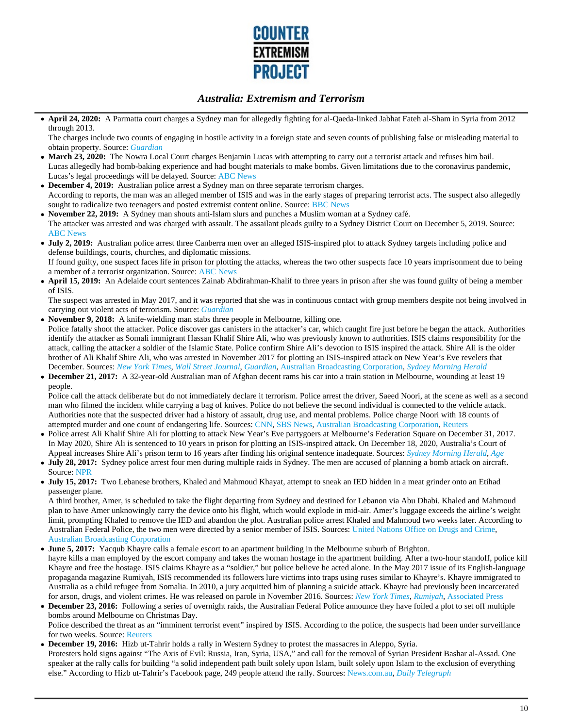

**April 24, 2020:** A Parmatta court charges a Sydney man for allegedly fighting for al-Qaeda-linked Jabhat Fateh al-Sham in Syria from 2012 through 2013.

The charges include two counts of engaging in hostile activity in a foreign state and seven counts of publishing false or misleading material to obtain property. Source: *Guardian*

- March 23, 2020: The Nowra Local Court charges Benjamin Lucas with attempting to carry out a terrorist attack and refuses him bail. Lucas allegedly had bomb-baking experience and had bought materials to make bombs. Given limitations due to the coronavirus pandemic, Lucas's legal proceedings will be delayed. Source: ABC News
- **December 4, 2019:** Australian police arrest a Sydney man on three separate terrorism charges. According to reports, the man was an alleged member of ISIS and was in the early stages of preparing terrorist acts. The suspect also allegedly sought to radicalize two teenagers and posted extremist content online. Source: BBC News
- **November 22, 2019:** A Sydney man shouts anti-Islam slurs and punches a Muslim woman at a Sydney café. The attacker was arrested and was charged with assault. The assailant pleads guilty to a Sydney District Court on December 5, 2019. Source: ABC News
- **July 2, 2019:** Australian police arrest three Canberra men over an alleged ISIS-inspired plot to attack Sydney targets including police and defense buildings, courts, churches, and diplomatic missions.

If found guilty, one suspect faces life in prison for plotting the attacks, whereas the two other suspects face 10 years imprisonment due to being a member of a terrorist organization. Source: ABC News

**April 15, 2019:** An Adelaide court sentences Zainab Abdirahman-Khalif to three years in prison after she was found guilty of being a member of ISIS.

The suspect was arrested in May 2017, and it was reported that she was in continuous contact with group members despite not being involved in carrying out violent acts of terrorism. Source: *Guardian*

- **November 9, 2018:** A knife-wielding man stabs three people in Melbourne, killing one. Police fatally shoot the attacker. Police discover gas canisters in the attacker's car, which caught fire just before he began the attack. Authorities identify the attacker as Somali immigrant Hassan Khalif Shire Ali, who was previously known to authorities. ISIS claims responsibility for the attack, calling the attacker a soldier of the Islamic State. Police confirm Shire Ali's devotion to ISIS inspired the attack. Shire Ali is the older brother of Ali Khalif Shire Ali, who was arrested in November 2017 for plotting an ISIS-inspired attack on New Year's Eve revelers that December. Sources: *New York Times*, *Wall Street Journal*, *Guardian*, Australian Broadcasting Corporation, *Sydney Morning Herald*
- **December 21, 2017:** A 32-year-old Australian man of Afghan decent rams his car into a train station in Melbourne, wounding at least 19 people.

Police call the attack deliberate but do not immediately declare it terrorism. Police arrest the driver, Saeed Noori, at the scene as well as a second man who filmed the incident while carrying a bag of knives. Police do not believe the second individual is connected to the vehicle attack. Authorities note that the suspected driver had a history of assault, drug use, and mental problems. Police charge Noori with 18 counts of attempted murder and one count of endangering life. Sources: CNN, SBS News, Australian Broadcasting Corporation, Reuters

- Police arrest Ali Khalif Shire Ali for plotting to attack New Year's Eve partygoers at Melbourne's Federation Square on December 31, 2017. In May 2020, Shire Ali is sentenced to 10 years in prison for plotting an ISIS-inspired attack. On December 18, 2020, Australia's Court of Appeal increases Shire Ali's prison term to 16 years after finding his original sentence inadequate. Sources: *Sydney Morning Herald*, *Age*
- **July 28, 2017:** Sydney police arrest four men during multiple raids in Sydney. The men are accused of planning a bomb attack on aircraft. Source: NPR
- **July 15, 2017:** Two Lebanese brothers, Khaled and Mahmoud Khayat, attempt to sneak an IED hidden in a meat grinder onto an Etihad passenger plane.

A third brother, Amer, is scheduled to take the flight departing from Sydney and destined for Lebanon via Abu Dhabi. Khaled and Mahmoud plan to have Amer unknowingly carry the device onto his flight, which would explode in mid-air. Amer's luggage exceeds the airline's weight limit, prompting Khaled to remove the IED and abandon the plot. Australian police arrest Khaled and Mahmoud two weeks later. According to Australian Federal Police, the two men were directed by a senior member of ISIS. Sources: United Nations Office on Drugs and Crime, Australian Broadcasting Corporation

- **June 5, 2017:** Yacqub Khayre calls a female escort to an apartment building in the Melbourne suburb of Brighton. hayre kills a man employed by the escort company and takes the woman hostage in the apartment building. After a two-hour standoff, police kill Khayre and free the hostage. ISIS claims Khayre as a "soldier," but police believe he acted alone. In the May 2017 issue of its English-language propaganda magazine Rumiyah, ISIS recommended its followers lure victims into traps using ruses similar to Khayre's. Khayre immigrated to Australia as a child refugee from Somalia. In 2010, a jury acquitted him of planning a suicide attack. Khayre had previously been incarcerated for arson, drugs, and violent crimes. He was released on parole in November 2016. Sources: *New York Times*, *Rumiyah*, Associated Press
- **December 23, 2016:** Following a series of overnight raids, the Australian Federal Police announce they have foiled a plot to set off multiple bombs around Melbourne on Christmas Day. Police described the threat as an "imminent terrorist event" inspired by ISIS. According to the police, the suspects had been under surveillance for two weeks. Source: Reuters
- **December 19, 2016:** Hizb ut-Tahrir holds a rally in Western Sydney to protest the massacres in Aleppo, Syria. Protesters hold signs against "The Axis of Evil: Russia, Iran, Syria, USA," and call for the removal of Syrian President Bashar al-Assad. One speaker at the rally calls for building "a solid independent path built solely upon Islam, built solely upon Islam to the exclusion of everything else." According to Hizb ut-Tahrir's Facebook page, 249 people attend the rally. Sources: News.com.au, *Daily Telegraph*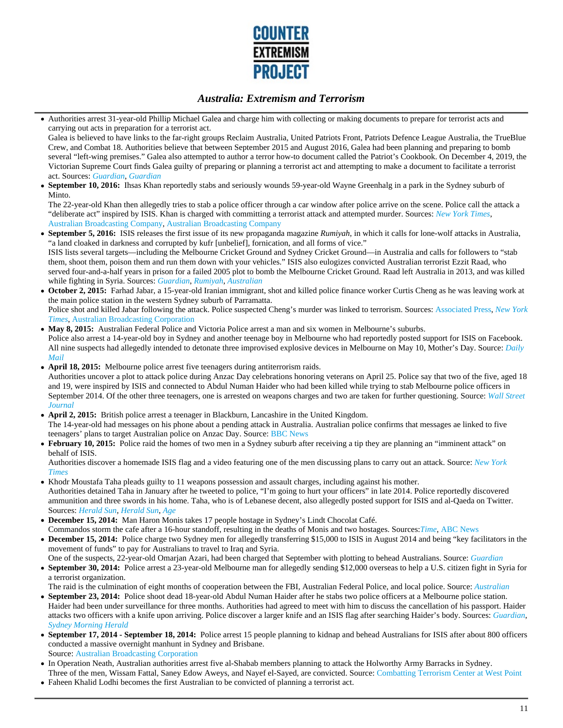

Authorities arrest 31-year-old Phillip Michael Galea and charge him with collecting or making documents to prepare for terrorist acts and carrying out acts in preparation for a terrorist act.

Galea is believed to have links to the far-right groups Reclaim Australia, United Patriots Front, Patriots Defence League Australia, the TrueBlue Crew, and Combat 18. Authorities believe that between September 2015 and August 2016, Galea had been planning and preparing to bomb several "left-wing premises." Galea also attempted to author a terror how-to document called the Patriot's Cookbook. On December 4, 2019, the Victorian Supreme Court finds Galea guilty of preparing or planning a terrorist act and attempting to make a document to facilitate a terrorist act. Sources: *Guardian*, *Guardian*

**September 10, 2016:** Ihsas Khan reportedly stabs and seriously wounds 59-year-old Wayne Greenhalg in a park in the Sydney suburb of  $\bullet$ Minto.

The 22-year-old Khan then allegedly tries to stab a police officer through a car window after police arrive on the scene. Police call the attack a "deliberate act" inspired by ISIS. Khan is charged with committing a terrorist attack and attempted murder. Sources: *New York Times*, Australian Broadcasting Company, Australian Broadcasting Company

**September 5, 2016:** ISIS releases the first issue of its new propaganda magazine *Rumiyah*, in which it calls for lone-wolf attacks in Australia, "a land cloaked in darkness and corrupted by kufr [unbelief], fornication, and all forms of vice."

ISIS lists several targets—including the Melbourne Cricket Ground and Sydney Cricket Ground—in Australia and calls for followers to "stab them, shoot them, poison them and run them down with your vehicles." ISIS also eulogizes convicted Australian terrorist Ezzit Raad, who served four-and-a-half years in prison for a failed 2005 plot to bomb the Melbourne Cricket Ground. Raad left Australia in 2013, and was killed while fighting in Syria. Sources: *Guardian*, *Rumiyah*, *Australian*

- **October 2, 2015:** Farhad Jabar, a 15-year-old Iranian immigrant, shot and killed police finance worker Curtis Cheng as he was leaving work at the main police station in the western Sydney suburb of Parramatta. Police shot and killed Jabar following the attack. Police suspected Cheng's murder was linked to terrorism. Sources: Associated Press, *New York Times*, Australian Broadcasting Corporation
- **May 8, 2015:** Australian Federal Police and Victoria Police arrest a man and six women in Melbourne's suburbs. Police also arrest a 14-year-old boy in Sydney and another teenage boy in Melbourne who had reportedly posted support for ISIS on Facebook. All nine suspects had allegedly intended to detonate three improvised explosive devices in Melbourne on May 10, Mother's Day. Source: *Daily Mail*
- **April 18, 2015:** Melbourne police arrest five teenagers during antiterrorism raids.

Authorities uncover a plot to attack police during Anzac Day celebrations honoring veterans on April 25. Police say that two of the five, aged 18 and 19, were inspired by ISIS and connected to Abdul Numan Haider who had been killed while trying to stab Melbourne police officers in September 2014. Of the other three teenagers, one is arrested on weapons charges and two are taken for further questioning. Source: *Wall Street Journal*

- **April 2, 2015:** British police arrest a teenager in Blackburn, Lancashire in the United Kingdom. The 14-year-old had messages on his phone about a pending attack in Australia. Australian police confirms that messages ae linked to five teenagers' plans to target Australian police on Anzac Day. Source: BBC News
- **February 10, 2015:** Police raid the homes of two men in a Sydney suburb after receiving a tip they are planning an "imminent attack" on behalf of ISIS.

Authorities discover a homemade ISIS flag and a video featuring one of the men discussing plans to carry out an attack. Source: *New York Times*

- Khodr Moustafa Taha pleads guilty to 11 weapons possession and assault charges, including against his mother. Authorities detained Taha in January after he tweeted to police, "I'm going to hurt your officers" in late 2014. Police reportedly discovered ammunition and three swords in his home. Taha, who is of Lebanese decent, also allegedly posted support for ISIS and al-Qaeda on Twitter. Sources: *Herald Sun*, *Herald Sun*, *Age*
- **December 15, 2014:** Man Haron Monis takes 17 people hostage in Sydney's Lindt Chocolat Café. Commandos storm the cafe after a 16-hour standoff, resulting in the deaths of Monis and two hostages. Sources:*Time*, ABC News
- **December 15, 2014:** Police charge two Sydney men for allegedly transferring \$15,000 to ISIS in August 2014 and being "key facilitators in the movement of funds" to pay for Australians to travel to Iraq and Syria.
- One of the suspects, 22-year-old Omarjan Azari, had been charged that September with plotting to behead Australians. Source: *Guardian* **September 30, 2014:** Police arrest a 23-year-old Melbourne man for allegedly sending \$12,000 overseas to help a U.S. citizen fight in Syria for a terrorist organization.

The raid is the culmination of eight months of cooperation between the FBI, Australian Federal Police, and local police. Source: *Australian*

- **September 23, 2014:** Police shoot dead 18-year-old Abdul Numan Haider after he stabs two police officers at a Melbourne police station. Haider had been under surveillance for three months. Authorities had agreed to meet with him to discuss the cancellation of his passport. Haider attacks two officers with a knife upon arriving. Police discover a larger knife and an ISIS flag after searching Haider's body. Sources: *Guardian*, *Sydney Morning Herald*
- **September 17, 2014 September 18, 2014:** Police arrest 15 people planning to kidnap and behead Australians for ISIS after about 800 officers conducted a massive overnight manhunt in Sydney and Brisbane. Source: Australian Broadcasting Corporation
- In Operation Neath, Australian authorities arrest five al-Shabab members planning to attack the Holworthy Army Barracks in Sydney. Three of the men, Wissam Fattal, Saney Edow Aweys, and Nayef el-Sayed, are convicted. Source: Combatting Terrorism Center at West Point
- Faheen Khalid Lodhi becomes the first Australian to be convicted of planning a terrorist act.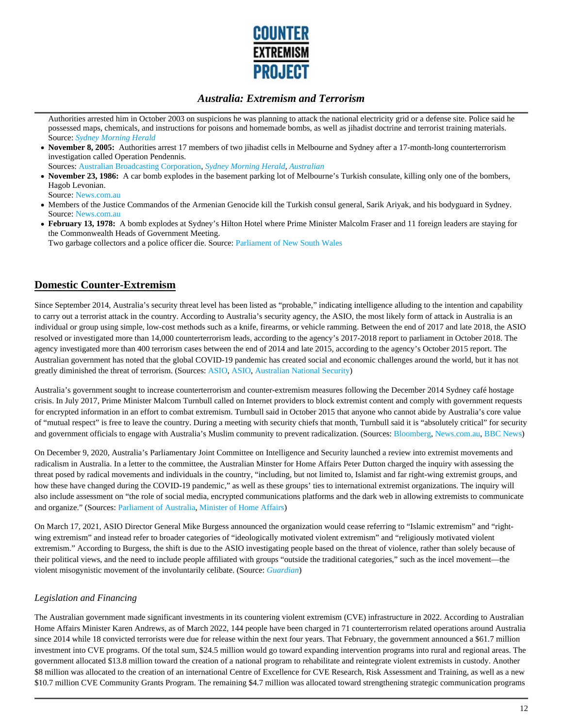

Authorities arrested him in October 2003 on suspicions he was planning to attack the national electricity grid or a defense site. Police said he possessed maps, chemicals, and instructions for poisons and homemade bombs, as well as jihadist doctrine and terrorist training materials. Source: *Sydney Morning Herald*

- **November 8, 2005:** Authorities arrest 17 members of two jihadist cells in Melbourne and Sydney after a 17-month-long counterterrorism investigation called Operation Pendennis. Sources: Australian Broadcasting Corporation, *Sydney Morning Herald*, *Australian*
- **November 23, 1986:** A car bomb explodes in the basement parking lot of Melbourne's Turkish consulate, killing only one of the bombers, Hagob Levonian.

Source: News.com.au

- Members of the Justice Commandos of the Armenian Genocide kill the Turkish consul general, Sarik Ariyak, and his bodyguard in Sydney. Source: News.com.au
- **February 13, 1978:** A bomb explodes at Sydney's Hilton Hotel where Prime Minister Malcolm Fraser and 11 foreign leaders are staying for the Commonwealth Heads of Government Meeting.

Two garbage collectors and a police officer die. Source: Parliament of New South Wales

# **Domestic Counter-Extremism**

Since September 2014, Australia's security threat level has been listed as "probable," indicating intelligence alluding to the intention and capability to carry out a terrorist attack in the country. According to Australia's security agency, the ASIO, the most likely form of attack in Australia is an individual or group using simple, low-cost methods such as a knife, firearms, or vehicle ramming. Between the end of 2017 and late 2018, the ASIO resolved or investigated more than 14,000 counterterrorism leads, according to the agency's 2017-2018 report to parliament in October 2018. The agency investigated more than 400 terrorism cases between the end of 2014 and late 2015, according to the agency's October 2015 report. The Australian government has noted that the global COVID-19 pandemic has created social and economic challenges around the world, but it has not greatly diminished the threat of terrorism. (Sources: ASIO, ASIO, Australian National Security)

Australia's government sought to increase counterterrorism and counter-extremism measures following the December 2014 Sydney café hostage crisis. In July 2017, Prime Minister Malcom Turnbull called on Internet providers to block extremist content and comply with government requests for encrypted information in an effort to combat extremism. Turnbull said in October 2015 that anyone who cannot abide by Australia's core value of "mutual respect" is free to leave the country. During a meeting with security chiefs that month, Turnbull said it is "absolutely critical" for security and government officials to engage with Australia's Muslim community to prevent radicalization. (Sources: Bloomberg, News.com.au, BBC News)

On December 9, 2020, Australia's Parliamentary Joint Committee on Intelligence and Security launched a review into extremist movements and radicalism in Australia. In a letter to the committee, the Australian Minster for Home Affairs Peter Dutton charged the inquiry with assessing the threat posed by radical movements and individuals in the country, "including, but not limited to, Islamist and far right-wing extremist groups, and how these have changed during the COVID-19 pandemic," as well as these groups' ties to international extremist organizations. The inquiry will also include assessment on "the role of social media, encrypted communications platforms and the dark web in allowing extremists to communicate and organize." (Sources: Parliament of Australia, Minister of Home Affairs)

On March 17, 2021, ASIO Director General Mike Burgess announced the organization would cease referring to "Islamic extremism" and "rightwing extremism" and instead refer to broader categories of "ideologically motivated violent extremism" and "religiously motivated violent extremism." According to Burgess, the shift is due to the ASIO investigating people based on the threat of violence, rather than solely because of their political views, and the need to include people affiliated with groups "outside the traditional categories," such as the incel movement—the violent misogynistic movement of the involuntarily celibate. (Source: *Guardian*)

### *Legislation and Financing*

The Australian government made significant investments in its countering violent extremism (CVE) infrastructure in 2022. According to Australian Home Affairs Minister Karen Andrews, as of March 2022, 144 people have been charged in 71 counterterrorism related operations around Australia since 2014 while 18 convicted terrorists were due for release within the next four years. That February, the government announced a \$61.7 million investment into CVE programs. Of the total sum, \$24.5 million would go toward expanding intervention programs into rural and regional areas. The government allocated \$13.8 million toward the creation of a national program to rehabilitate and reintegrate violent extremists in custody. Another \$8 million was allocated to the creation of an international Centre of Excellence for CVE Research, Risk Assessment and Training, as well as a new \$10.7 million CVE Community Grants Program. The remaining \$4.7 million was allocated toward strengthening strategic communication programs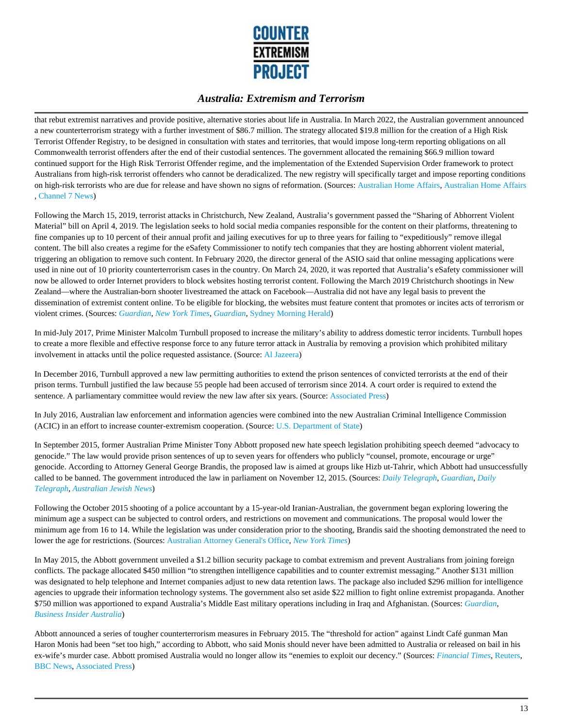

that rebut extremist narratives and provide positive, alternative stories about life in Australia. In March 2022, the Australian government announced a new counterterrorism strategy with a further investment of \$86.7 million. The strategy allocated \$19.8 million for the creation of a High Risk Terrorist Offender Registry, to be designed in consultation with states and territories, that would impose long-term reporting obligations on all Commonwealth terrorist offenders after the end of their custodial sentences. The government allocated the remaining \$66.9 million toward continued support for the High Risk Terrorist Offender regime, and the implementation of the Extended Supervision Order framework to protect Australians from high-risk terrorist offenders who cannot be deradicalized. The new registry will specifically target and impose reporting conditions on high-risk terrorists who are due for release and have shown no signs of reformation. (Sources: Australian Home Affairs, Australian Home Affairs , Channel 7 News)

Following the March 15, 2019, terrorist attacks in Christchurch, New Zealand, Australia's government passed the "Sharing of Abhorrent Violent Material" bill on April 4, 2019. The legislation seeks to hold social media companies responsible for the content on their platforms, threatening to fine companies up to 10 percent of their annual profit and jailing executives for up to three years for failing to "expeditiously" remove illegal content. The bill also creates a regime for the eSafety Commissioner to notify tech companies that they are hosting abhorrent violent material, triggering an obligation to remove such content. In February 2020, the director general of the ASIO said that online messaging applications were used in nine out of 10 priority counterterrorism cases in the country. On March 24, 2020, it was reported that Australia's eSafety commissioner will now be allowed to order Internet providers to block websites hosting terrorist content. Following the March 2019 Christchurch shootings in New Zealand—where the Australian-born shooter livestreamed the attack on Facebook—Australia did not have any legal basis to prevent the dissemination of extremist content online. To be eligible for blocking, the websites must feature content that promotes or incites acts of terrorism or violent crimes. (Sources: *Guardian*, *New York Times*, *Guardian*, Sydney Morning Herald)

In mid-July 2017, Prime Minister Malcolm Turnbull proposed to increase the military's ability to address domestic terror incidents. Turnbull hopes to create a more flexible and effective response force to any future terror attack in Australia by removing a provision which prohibited military involvement in attacks until the police requested assistance. (Source: Al Jazeera)

In December 2016, Turnbull approved a new law permitting authorities to extend the prison sentences of convicted terrorists at the end of their prison terms. Turnbull justified the law because 55 people had been accused of terrorism since 2014. A court order is required to extend the sentence. A parliamentary committee would review the new law after six years. (Source: Associated Press)

In July 2016, Australian law enforcement and information agencies were combined into the new Australian Criminal Intelligence Commission (ACIC) in an effort to increase counter-extremism cooperation. (Source: U.S. Department of State)

In September 2015, former Australian Prime Minister Tony Abbott proposed new hate speech legislation prohibiting speech deemed "advocacy to genocide." The law would provide prison sentences of up to seven years for offenders who publicly "counsel, promote, encourage or urge" genocide. According to Attorney General George Brandis, the proposed law is aimed at groups like Hizb ut-Tahrir, which Abbott had unsuccessfully called to be banned. The government introduced the law in parliament on November 12, 2015. (Sources: *Daily Telegraph*, *Guardian*, *Daily Telegraph*, *Australian Jewish News*)

Following the October 2015 shooting of a police accountant by a 15-year-old Iranian-Australian, the government began exploring lowering the minimum age a suspect can be subjected to control orders, and restrictions on movement and communications. The proposal would lower the minimum age from 16 to 14. While the legislation was under consideration prior to the shooting, Brandis said the shooting demonstrated the need to lower the age for restrictions. (Sources: Australian Attorney General's Office, *New York Times*)

In May 2015, the Abbott government unveiled a \$1.2 billion security package to combat extremism and prevent Australians from joining foreign conflicts. The package allocated \$450 million "to strengthen intelligence capabilities and to counter extremist messaging." Another \$131 million was designated to help telephone and Internet companies adjust to new data retention laws. The package also included \$296 million for intelligence agencies to upgrade their information technology systems. The government also set aside \$22 million to fight online extremist propaganda. Another \$750 million was apportioned to expand Australia's Middle East military operations including in Iraq and Afghanistan. (Sources: *Guardian*, *Business Insider Australia*)

Abbott announced a series of tougher counterterrorism measures in February 2015. The "threshold for action" against Lindt Café gunman Man Haron Monis had been "set too high," according to Abbott, who said Monis should never have been admitted to Australia or released on bail in his ex-wife's murder case. Abbott promised Australia would no longer allow its "enemies to exploit our decency." (Sources: *Financial Times*, Reuters, BBC News, Associated Press)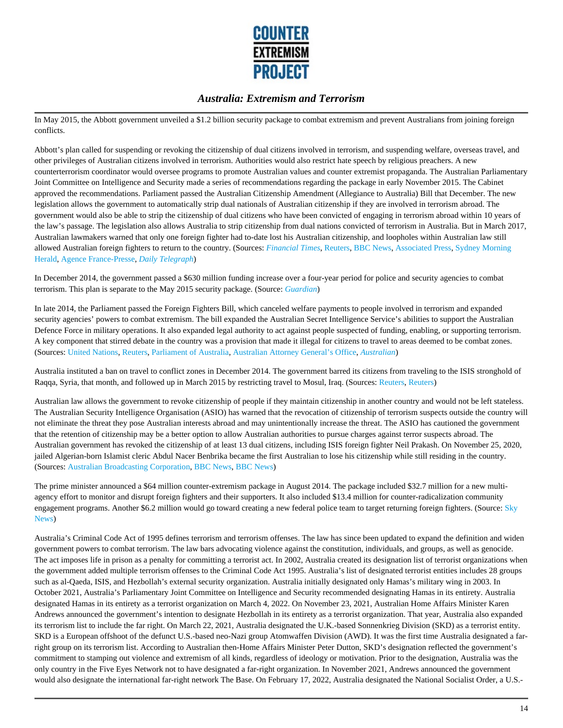

In May 2015, the Abbott government unveiled a \$1.2 billion security package to combat extremism and prevent Australians from joining foreign conflicts.

Abbott's plan called for suspending or revoking the citizenship of dual citizens involved in terrorism, and suspending welfare, overseas travel, and other privileges of Australian citizens involved in terrorism. Authorities would also restrict hate speech by religious preachers. A new counterterrorism coordinator would oversee programs to promote Australian values and counter extremist propaganda. The Australian Parliamentary Joint Committee on Intelligence and Security made a series of recommendations regarding the package in early November 2015. The Cabinet approved the recommendations. Parliament passed the Australian Citizenship Amendment (Allegiance to Australia) Bill that December. The new legislation allows the government to automatically strip dual nationals of Australian citizenship if they are involved in terrorism abroad. The government would also be able to strip the citizenship of dual citizens who have been convicted of engaging in terrorism abroad within 10 years of the law's passage. The legislation also allows Australia to strip citizenship from dual nations convicted of terrorism in Australia. But in March 2017, Australian lawmakers warned that only one foreign fighter had to-date lost his Australian citizenship, and loopholes within Australian law still allowed Australian foreign fighters to return to the country. (Sources: *Financial Times*, Reuters, BBC News, Associated Press, Sydney Morning Herald, Agence France-Presse, *Daily Telegraph*)

In December 2014, the government passed a \$630 million funding increase over a four-year period for police and security agencies to combat terrorism. This plan is separate to the May 2015 security package. (Source: *Guardian*)

In late 2014, the Parliament passed the Foreign Fighters Bill, which canceled welfare payments to people involved in terrorism and expanded security agencies' powers to combat extremism. The bill expanded the Australian Secret Intelligence Service's abilities to support the Australian Defence Force in military operations. It also expanded legal authority to act against people suspected of funding, enabling, or supporting terrorism. A key component that stirred debate in the country was a provision that made it illegal for citizens to travel to areas deemed to be combat zones. (Sources: United Nations, Reuters, Parliament of Australia, Australian Attorney General's Office, *Australian*)

Australia instituted a ban on travel to conflict zones in December 2014. The government barred its citizens from traveling to the ISIS stronghold of Raqqa, Syria, that month, and followed up in March 2015 by restricting travel to Mosul, Iraq. (Sources: Reuters, Reuters)

Australian law allows the government to revoke citizenship of people if they maintain citizenship in another country and would not be left stateless. The Australian Security Intelligence Organisation (ASIO) has warned that the revocation of citizenship of terrorism suspects outside the country will not eliminate the threat they pose Australian interests abroad and may unintentionally increase the threat. The ASIO has cautioned the government that the retention of citizenship may be a better option to allow Australian authorities to pursue charges against terror suspects abroad. The Australian government has revoked the citizenship of at least 13 dual citizens, including ISIS foreign fighter Neil Prakash. On November 25, 2020, jailed Algerian-born Islamist cleric Abdul Nacer Benbrika became the first Australian to lose his citizenship while still residing in the country. (Sources: Australian Broadcasting Corporation, BBC News, BBC News)

The prime minister announced a \$64 million counter-extremism package in August 2014. The package included \$32.7 million for a new multiagency effort to monitor and disrupt foreign fighters and their supporters. It also included \$13.4 million for counter-radicalization community engagement programs. Another \$6.2 million would go toward creating a new federal police team to target returning foreign fighters. (Source: Sky News)

Australia's Criminal Code Act of 1995 defines terrorism and terrorism offenses. The law has since been updated to expand the definition and widen government powers to combat terrorism. The law bars advocating violence against the constitution, individuals, and groups, as well as genocide. The act imposes life in prison as a penalty for committing a terrorist act. In 2002, Australia created its designation list of terrorist organizations when the government added multiple terrorism offenses to the Criminal Code Act 1995. Australia's list of designated terrorist entities includes 28 groups such as al-Qaeda, ISIS, and Hezbollah's external security organization. Australia initially designated only Hamas's military wing in 2003. In October 2021, Australia's Parliamentary Joint Committee on Intelligence and Security recommended designating Hamas in its entirety. Australia designated Hamas in its entirety as a terrorist organization on March 4, 2022. On November 23, 2021, Australian Home Affairs Minister Karen Andrews announced the government's intention to designate Hezbollah in its entirety as a terrorist organization. That year, Australia also expanded its terrorism list to include the far right. On March 22, 2021, Australia designated the U.K.-based Sonnenkrieg Division (SKD) as a terrorist entity. SKD is a European offshoot of the defunct U.S.-based neo-Nazi group Atomwaffen Division (AWD). It was the first time Australia designated a farright group on its terrorism list. According to Australian then-Home Affairs Minister Peter Dutton, SKD's designation reflected the government's commitment to stamping out violence and extremism of all kinds, regardless of ideology or motivation. Prior to the designation, Australia was the only country in the Five Eyes Network not to have designated a far-right organization. In November 2021, Andrews announced the government would also designate the international far-right network The Base. On February 17, 2022, Australia designated the National Socialist Order, a U.S.-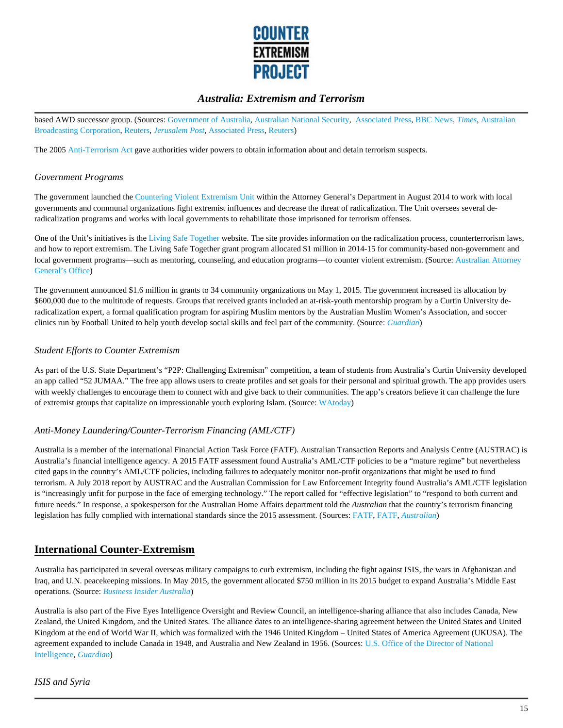

based AWD successor group. (Sources: Government of Australia, Australian National Security, Associated Press, BBC News, *Times*, Australian Broadcasting Corporation, Reuters, *Jerusalem Post,* Associated Press, Reuters)

The 2005 Anti-Terrorism Act gave authorities wider powers to obtain information about and detain terrorism suspects.

#### *Government Programs*

The government launched the Countering Violent Extremism Unit within the Attorney General's Department in August 2014 to work with local governments and communal organizations fight extremist influences and decrease the threat of radicalization. The Unit oversees several deradicalization programs and works with local governments to rehabilitate those imprisoned for terrorism offenses.

One of the Unit's initiatives is the Living Safe Together website. The site provides information on the radicalization process, counterterrorism laws, and how to report extremism. The Living Safe Together grant program allocated \$1 million in 2014-15 for community-based non-government and local government programs—such as mentoring, counseling, and education programs—to counter violent extremism. (Source: Australian Attorney General's Office)

The government announced \$1.6 million in grants to 34 community organizations on May 1, 2015. The government increased its allocation by \$600,000 due to the multitude of requests. Groups that received grants included an at-risk-youth mentorship program by a Curtin University deradicalization expert, a formal qualification program for aspiring Muslim mentors by the Australian Muslim Women's Association, and soccer clinics run by Football United to help youth develop social skills and feel part of the community. (Source: *Guardian*)

#### *Student Efforts to Counter Extremism*

As part of the U.S. State Department's "P2P: Challenging Extremism" competition, a team of students from Australia's Curtin University developed an app called "52 JUMAA." The free app allows users to create profiles and set goals for their personal and spiritual growth. The app provides users with weekly challenges to encourage them to connect with and give back to their communities. The app's creators believe it can challenge the lure of extremist groups that capitalize on impressionable youth exploring Islam. (Source: WAtoday)

#### *Anti-Money Laundering/Counter-Terrorism Financing (AML/CTF)*

Australia is a member of the international Financial Action Task Force (FATF). Australian Transaction Reports and Analysis Centre (AUSTRAC) is Australia's financial intelligence agency. A 2015 FATF assessment found Australia's AML/CTF policies to be a "mature regime" but nevertheless cited gaps in the country's AML/CTF policies, including failures to adequately monitor non-profit organizations that might be used to fund terrorism. A July 2018 report by AUSTRAC and the Australian Commission for Law Enforcement Integrity found Australia's AML/CTF legislation is "increasingly unfit for purpose in the face of emerging technology." The report called for "effective legislation" to "respond to both current and future needs." In response, a spokesperson for the Australian Home Affairs department told the *Australian* that the country's terrorism financing legislation has fully complied with international standards since the 2015 assessment. (Sources: FATF, FATF, *Australian*)

### **International Counter-Extremism**

Australia has participated in several overseas military campaigns to curb extremism, including the fight against ISIS, the wars in Afghanistan and Iraq, and U.N. peacekeeping missions. In May 2015, the government allocated \$750 million in its 2015 budget to expand Australia's Middle East operations. (Source: *Business Insider Australia*)

Australia is also part of the Five Eyes Intelligence Oversight and Review Council, an intelligence-sharing alliance that also includes Canada, New Zealand, the United Kingdom, and the United States. The alliance dates to an intelligence-sharing agreement between the United States and United Kingdom at the end of World War II, which was formalized with the 1946 United Kingdom – United States of America Agreement (UKUSA). The agreement expanded to include Canada in 1948, and Australia and New Zealand in 1956. (Sources: U.S. Office of the Director of National Intelligence, *Guardian*)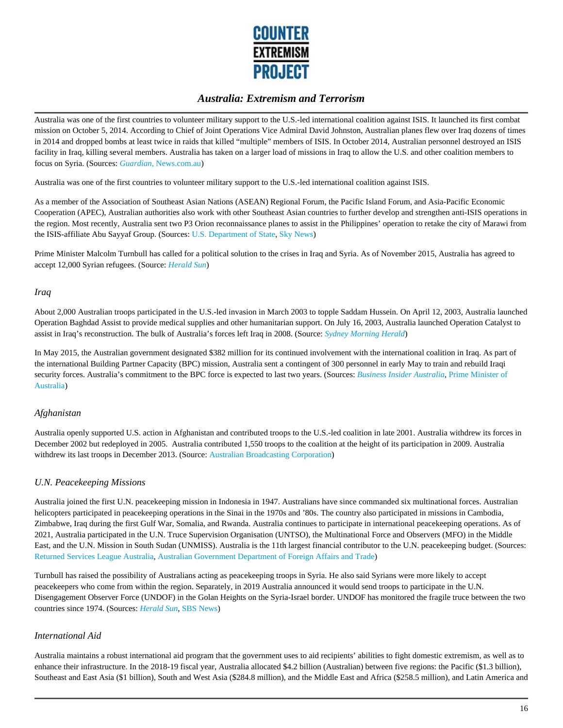

Australia was one of the first countries to volunteer military support to the U.S.-led international coalition against ISIS. It launched its first combat mission on October 5, 2014. According to Chief of Joint Operations Vice Admiral David Johnston, Australian planes flew over Iraq dozens of times in 2014 and dropped bombs at least twice in raids that killed "multiple" members of ISIS. In October 2014, Australian personnel destroyed an ISIS facility in Iraq, killing several members. Australia has taken on a larger load of missions in Iraq to allow the U.S. and other coalition members to focus on Syria. (Sources: *Guardian*, News.com.au)

Australia was one of the first countries to volunteer military support to the U.S.-led international coalition against ISIS.

As a member of the Association of Southeast Asian Nations (ASEAN) Regional Forum, the Pacific Island Forum, and Asia-Pacific Economic Cooperation (APEC), Australian authorities also work with other Southeast Asian countries to further develop and strengthen anti-ISIS operations in the region. Most recently, Australia sent two P3 Orion reconnaissance planes to assist in the Philippines' operation to retake the city of Marawi from the ISIS-affiliate Abu Sayyaf Group. (Sources: U.S. Department of State, Sky News)

Prime Minister Malcolm Turnbull has called for a political solution to the crises in Iraq and Syria. As of November 2015, Australia has agreed to accept 12,000 Syrian refugees. (Source: *Herald Sun*)

#### *Iraq*

About 2,000 Australian troops participated in the U.S.-led invasion in March 2003 to topple Saddam Hussein. On April 12, 2003, Australia launched Operation Baghdad Assist to provide medical supplies and other humanitarian support. On July 16, 2003, Australia launched Operation Catalyst to assist in Iraq's reconstruction. The bulk of Australia's forces left Iraq in 2008. (Source: *Sydney Morning Herald*)

In May 2015, the Australian government designated \$382 million for its continued involvement with the international coalition in Iraq. As part of the international Building Partner Capacity (BPC) mission, Australia sent a contingent of 300 personnel in early May to train and rebuild Iraqi security forces. Australia's commitment to the BPC force is expected to last two years. (Sources: *Business Insider Australia*, Prime Minister of Australia)

#### *Afghanistan*

Australia openly supported U.S. action in Afghanistan and contributed troops to the U.S.-led coalition in late 2001. Australia withdrew its forces in December 2002 but redeployed in 2005. Australia contributed 1,550 troops to the coalition at the height of its participation in 2009. Australia withdrew its last troops in December 2013. (Source: Australian Broadcasting Corporation)

#### *U.N. Peacekeeping Missions*

Australia joined the first U.N. peacekeeping mission in Indonesia in 1947. Australians have since commanded six multinational forces. Australian helicopters participated in peacekeeping operations in the Sinai in the 1970s and '80s. The country also participated in missions in Cambodia, Zimbabwe, Iraq during the first Gulf War, Somalia, and Rwanda. Australia continues to participate in international peacekeeping operations. As of 2021, Australia participated in the U.N. Truce Supervision Organisation (UNTSO), the Multinational Force and Observers (MFO) in the Middle East, and the U.N. Mission in South Sudan (UNMISS). Australia is the 11th largest financial contributor to the U.N. peacekeeping budget. (Sources: Returned Services League Australia, Australian Government Department of Foreign Affairs and Trade)

Turnbull has raised the possibility of Australians acting as peacekeeping troops in Syria. He also said Syrians were more likely to accept peacekeepers who come from within the region. Separately, in 2019 Australia announced it would send troops to participate in the U.N. Disengagement Observer Force (UNDOF) in the Golan Heights on the Syria-Israel border. UNDOF has monitored the fragile truce between the two countries since 1974. (Sources: *Herald Sun*, SBS News)

#### *International Aid*

Australia maintains a robust international aid program that the government uses to aid recipients' abilities to fight domestic extremism, as well as to enhance their infrastructure. In the 2018-19 fiscal year, Australia allocated \$4.2 billion (Australian) between five regions: the Pacific (\$1.3 billion), Southeast and East Asia (\$1 billion), South and West Asia (\$284.8 million), and the Middle East and Africa (\$258.5 million), and Latin America and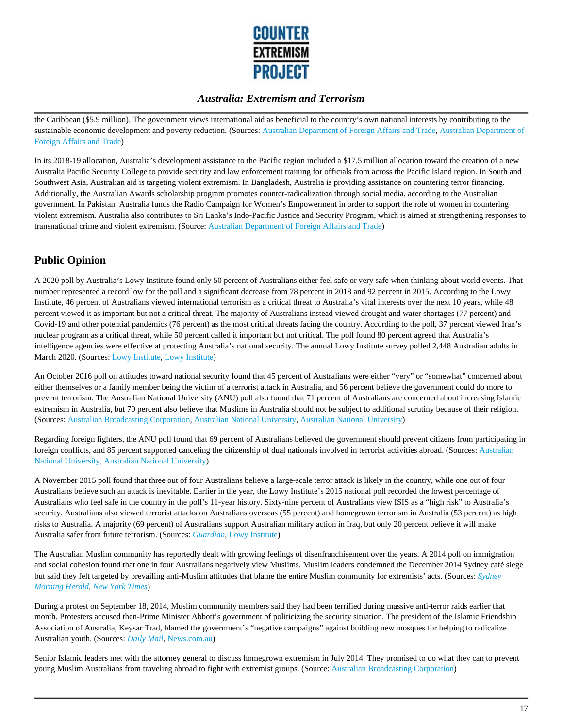

the Caribbean (\$5.9 million). The government views international aid as beneficial to the country's own national interests by contributing to the sustainable economic development and poverty reduction. (Sources: Australian Department of Foreign Affairs and Trade, Australian Department of Foreign Affairs and Trade)

In its 2018-19 allocation, Australia's development assistance to the Pacific region included a \$17.5 million allocation toward the creation of a new Australia Pacific Security College to provide security and law enforcement training for officials from across the Pacific Island region. In South and Southwest Asia, Australian aid is targeting violent extremism. In Bangladesh, Australia is providing assistance on countering terror financing. Additionally, the Australian Awards scholarship program promotes counter-radicalization through social media, according to the Australian government. In Pakistan, Australia funds the Radio Campaign for Women's Empowerment in order to support the role of women in countering violent extremism. Australia also contributes to Sri Lanka's Indo-Pacific Justice and Security Program, which is aimed at strengthening responses to transnational crime and violent extremism. (Source: Australian Department of Foreign Affairs and Trade)

# **Public Opinion**

A 2020 poll by Australia's Lowy Institute found only 50 percent of Australians either feel safe or very safe when thinking about world events. That number represented a record low for the poll and a significant decrease from 78 percent in 2018 and 92 percent in 2015. According to the Lowy Institute, 46 percent of Australians viewed international terrorism as a critical threat to Australia's vital interests over the next 10 years, while 48 percent viewed it as important but not a critical threat. The majority of Australians instead viewed drought and water shortages (77 percent) and Covid-19 and other potential pandemics (76 percent) as the most critical threats facing the country. According to the poll, 37 percent viewed Iran's nuclear program as a critical threat, while 50 percent called it important but not critical. The poll found 80 percent agreed that Australia's intelligence agencies were effective at protecting Australia's national security. The annual Lowy Institute survey polled 2,448 Australian adults in March 2020. (Sources: Lowy Institute, Lowy Institute)

An October 2016 poll on attitudes toward national security found that 45 percent of Australians were either "very" or "somewhat" concerned about either themselves or a family member being the victim of a terrorist attack in Australia, and 56 percent believe the government could do more to prevent terrorism. The Australian National University (ANU) poll also found that 71 percent of Australians are concerned about increasing Islamic extremism in Australia, but 70 percent also believe that Muslims in Australia should not be subject to additional scrutiny because of their religion. (Sources: Australian Broadcasting Corporation, Australian National University, Australian National University)

Regarding foreign fighters, the ANU poll found that 69 percent of Australians believed the government should prevent citizens from participating in foreign conflicts, and 85 percent supported canceling the citizenship of dual nationals involved in terrorist activities abroad. (Sources: Australian National University, Australian National University)

A November 2015 poll found that three out of four Australians believe a large-scale terror attack is likely in the country, while one out of four Australians believe such an attack is inevitable. Earlier in the year, the Lowy Institute's 2015 national poll recorded the lowest percentage of Australians who feel safe in the country in the poll's 11-year history. Sixty-nine percent of Australians view ISIS as a "high risk" to Australia's security. Australians also viewed terrorist attacks on Australians overseas (55 percent) and homegrown terrorism in Australia (53 percent) as high risks to Australia. A majority (69 percent) of Australians support Australian military action in Iraq, but only 20 percent believe it will make Australia safer from future terrorism. (Sources: *Guardian*, Lowy Institute)

The Australian Muslim community has reportedly dealt with growing feelings of disenfranchisement over the years. A 2014 poll on immigration and social cohesion found that one in four Australians negatively view Muslims. Muslim leaders condemned the December 2014 Sydney café siege but said they felt targeted by prevailing anti-Muslim attitudes that blame the entire Muslim community for extremists' acts. (Sources: *Sydney Morning Herald*, *New York Times*)

During a protest on September 18, 2014, Muslim community members said they had been terrified during massive anti-terror raids earlier that month. Protesters accused then-Prime Minister Abbott's government of politicizing the security situation. The president of the Islamic Friendship Association of Australia, Keysar Trad, blamed the government's "negative campaigns" against building new mosques for helping to radicalize Australian youth. (Sources: *Daily Mail*, News.com.au)

Senior Islamic leaders met with the attorney general to discuss homegrown extremism in July 2014. They promised to do what they can to prevent young Muslim Australians from traveling abroad to fight with extremist groups. (Source: Australian Broadcasting Corporation)